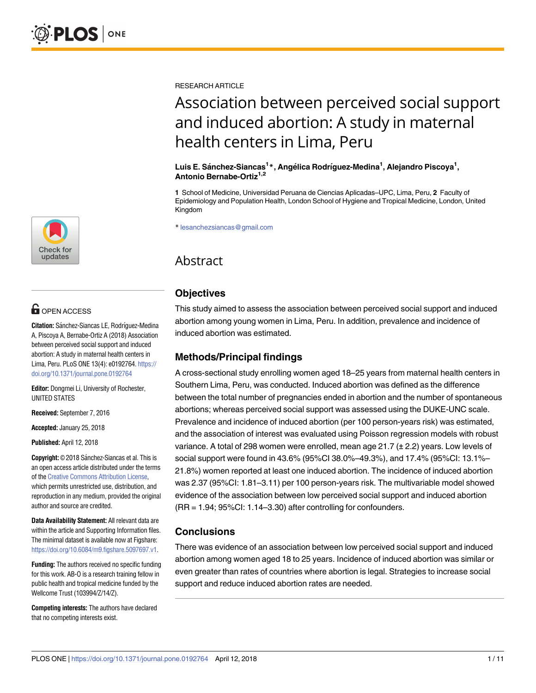

## **OPEN ACCESS**

**Citation:** Sánchez-Siancas LE, Rodríguez-Medina A, Piscoya A, Bernabe-Ortiz A (2018) Association between perceived social support and induced abortion: A study in maternal health centers in Lima, Peru. PLoS ONE 13(4): e0192764. [https://](https://doi.org/10.1371/journal.pone.0192764) [doi.org/10.1371/journal.pone.0192764](https://doi.org/10.1371/journal.pone.0192764)

**Editor:** Dongmei Li, University of Rochester, UNITED STATES

**Received:** September 7, 2016

**Accepted:** January 25, 2018

**Published:** April 12, 2018

**Copyright:** © 2018 Sánchez-Siancas et al. This is an open access article distributed under the terms of the Creative [Commons](http://creativecommons.org/licenses/by/4.0/) Attribution License, which permits unrestricted use, distribution, and reproduction in any medium, provided the original author and source are credited.

**Data Availability Statement:** All relevant data are within the article and Supporting Information files. The minimal dataset is available now at Figshare: <https://doi.org/10.6084/m9.figshare.5097697.v1>.

**Funding:** The authors received no specific funding for this work. AB-O is a research training fellow in public health and tropical medicine funded by the Wellcome Trust (103994/Z/14/Z).

**Competing interests:** The authors have declared that no competing interests exist.

RESEARCH ARTICLE

# Association between perceived social support and induced abortion: A study in maternal health centers in Lima, Peru

 $L$ uis E. Sánchez-Siancas<sup>1</sup>\*, Angélica Rodríguez-Medina<sup>1</sup>, Alejandro Piscoya<sup>1</sup>, **Antonio Bernabe-Ortiz1,2**

**1** School of Medicine, Universidad Peruana de Ciencias Aplicadas–UPC, Lima, Peru, **2** Faculty of Epidemiology and Population Health, London School of Hygiene and Tropical Medicine, London, United Kingdom

\* lesanchezsiancas@gmail.com

## Abstract

## **Objectives**

This study aimed to assess the association between perceived social support and induced abortion among young women in Lima, Peru. In addition, prevalence and incidence of induced abortion was estimated.

## **Methods/Principal findings**

A cross-sectional study enrolling women aged 18–25 years from maternal health centers in Southern Lima, Peru, was conducted. Induced abortion was defined as the difference between the total number of pregnancies ended in abortion and the number of spontaneous abortions; whereas perceived social support was assessed using the DUKE-UNC scale. Prevalence and incidence of induced abortion (per 100 person-years risk) was estimated, and the association of interest was evaluated using Poisson regression models with robust variance. A total of 298 women were enrolled, mean age 21.7 (± 2.2) years. Low levels of social support were found in 43.6% (95%CI 38.0%–49.3%), and 17.4% (95%CI: 13.1%– 21.8%) women reported at least one induced abortion. The incidence of induced abortion was 2.37 (95%CI: 1.81–3.11) per 100 person-years risk. The multivariable model showed evidence of the association between low perceived social support and induced abortion (RR = 1.94; 95%CI: 1.14–3.30) after controlling for confounders.

## **Conclusions**

There was evidence of an association between low perceived social support and induced abortion among women aged 18 to 25 years. Incidence of induced abortion was similar or even greater than rates of countries where abortion is legal. Strategies to increase social support and reduce induced abortion rates are needed.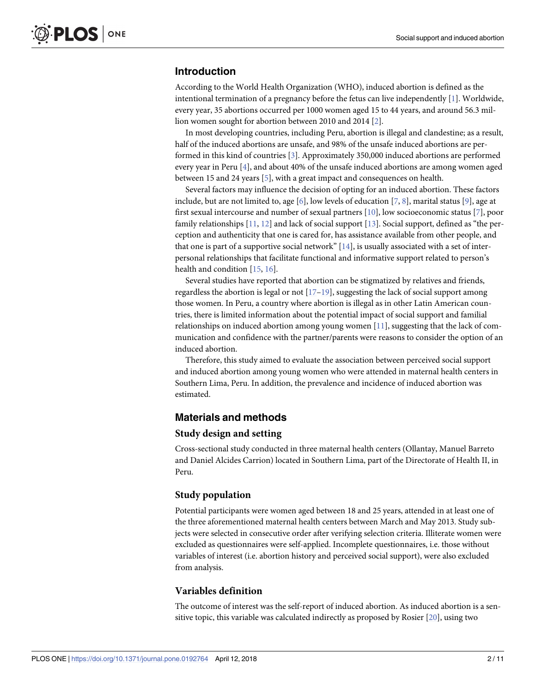## <span id="page-1-0"></span>**Introduction**

According to the World Health Organization (WHO), induced abortion is defined as the intentional termination of a pregnancy before the fetus can live independently [[1](#page-8-0)]. Worldwide, every year, 35 abortions occurred per 1000 women aged 15 to 44 years, and around 56.3 million women sought for abortion between 2010 and 2014 [[2\]](#page-8-0).

In most developing countries, including Peru, abortion is illegal and clandestine; as a result, half of the induced abortions are unsafe, and 98% of the unsafe induced abortions are performed in this kind of countries [\[3](#page-8-0)]. Approximately 350,000 induced abortions are performed every year in Peru [\[4](#page-8-0)], and about 40% of the unsafe induced abortions are among women aged between 15 and 24 years [\[5\]](#page-8-0), with a great impact and consequences on health.

Several factors may influence the decision of opting for an induced abortion. These factors include, but are not limited to, age [[6\]](#page-8-0), low levels of education [\[7,](#page-8-0) [8](#page-8-0)], marital status [\[9](#page-8-0)], age at first sexual intercourse and number of sexual partners [[10](#page-8-0)], low socioeconomic status [[7\]](#page-8-0), poor family relationships [\[11,](#page-8-0) [12\]](#page-8-0) and lack of social support [[13](#page-8-0)]. Social support, defined as "the perception and authenticity that one is cared for, has assistance available from other people, and that one is part of a supportive social network" [\[14\]](#page-8-0), is usually associated with a set of interpersonal relationships that facilitate functional and informative support related to person's health and condition [[15](#page-8-0), [16](#page-9-0)].

Several studies have reported that abortion can be stigmatized by relatives and friends, regardless the abortion is legal or not  $[17-19]$ , suggesting the lack of social support among those women. In Peru, a country where abortion is illegal as in other Latin American countries, there is limited information about the potential impact of social support and familial relationships on induced abortion among young women [\[11\]](#page-8-0), suggesting that the lack of communication and confidence with the partner/parents were reasons to consider the option of an induced abortion.

Therefore, this study aimed to evaluate the association between perceived social support and induced abortion among young women who were attended in maternal health centers in Southern Lima, Peru. In addition, the prevalence and incidence of induced abortion was estimated.

#### **Materials and methods**

#### **Study design and setting**

Cross-sectional study conducted in three maternal health centers (Ollantay, Manuel Barreto and Daniel Alcides Carrion) located in Southern Lima, part of the Directorate of Health II, in Peru.

#### **Study population**

Potential participants were women aged between 18 and 25 years, attended in at least one of the three aforementioned maternal health centers between March and May 2013. Study subjects were selected in consecutive order after verifying selection criteria. Illiterate women were excluded as questionnaires were self-applied. Incomplete questionnaires, i.e. those without variables of interest (i.e. abortion history and perceived social support), were also excluded from analysis.

#### **Variables definition**

The outcome of interest was the self-report of induced abortion. As induced abortion is a sensitive topic, this variable was calculated indirectly as proposed by Rosier [[20](#page-9-0)], using two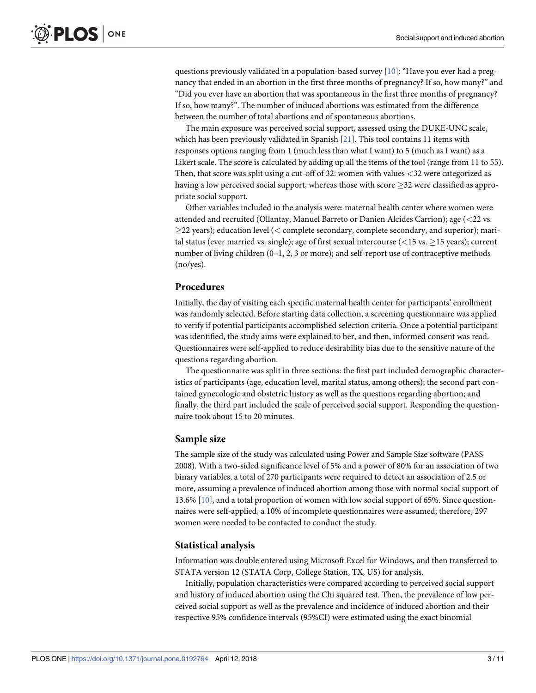<span id="page-2-0"></span>questions previously validated in a population-based survey [\[10\]](#page-8-0): "Have you ever had a pregnancy that ended in an abortion in the first three months of pregnancy? If so, how many?" and "Did you ever have an abortion that was spontaneous in the first three months of pregnancy? If so, how many?". The number of induced abortions was estimated from the difference between the number of total abortions and of spontaneous abortions.

The main exposure was perceived social support, assessed using the DUKE-UNC scale, which has been previously validated in Spanish [\[21\]](#page-9-0). This tool contains 11 items with responses options ranging from 1 (much less than what I want) to 5 (much as I want) as a Likert scale. The score is calculated by adding up all the items of the tool (range from 11 to 55). Then, that score was split using a cut-off of 32: women with values *<*32 were categorized as having a low perceived social support, whereas those with score  $>$ 32 were classified as appropriate social support.

Other variables included in the analysis were: maternal health center where women were attended and recruited (Ollantay, Manuel Barreto or Danien Alcides Carrion); age (*<*22 vs. 22 years); education level (*<* complete secondary, complete secondary, and superior); marital status (ever married vs. single); age of first sexual intercourse (*<*15 vs. 15 years); current number of living children (0–1, 2, 3 or more); and self-report use of contraceptive methods (no/yes).

#### **Procedures**

Initially, the day of visiting each specific maternal health center for participants' enrollment was randomly selected. Before starting data collection, a screening questionnaire was applied to verify if potential participants accomplished selection criteria. Once a potential participant was identified, the study aims were explained to her, and then, informed consent was read. Questionnaires were self-applied to reduce desirability bias due to the sensitive nature of the questions regarding abortion.

The questionnaire was split in three sections: the first part included demographic characteristics of participants (age, education level, marital status, among others); the second part contained gynecologic and obstetric history as well as the questions regarding abortion; and finally, the third part included the scale of perceived social support. Responding the questionnaire took about 15 to 20 minutes.

#### **Sample size**

The sample size of the study was calculated using Power and Sample Size software (PASS 2008). With a two-sided significance level of 5% and a power of 80% for an association of two binary variables, a total of 270 participants were required to detect an association of 2.5 or more, assuming a prevalence of induced abortion among those with normal social support of 13.6% [[10](#page-8-0)], and a total proportion of women with low social support of 65%. Since questionnaires were self-applied, a 10% of incomplete questionnaires were assumed; therefore, 297 women were needed to be contacted to conduct the study.

#### **Statistical analysis**

Information was double entered using Microsoft Excel for Windows, and then transferred to STATA version 12 (STATA Corp, College Station, TX, US) for analysis.

Initially, population characteristics were compared according to perceived social support and history of induced abortion using the Chi squared test. Then, the prevalence of low perceived social support as well as the prevalence and incidence of induced abortion and their respective 95% confidence intervals (95%CI) were estimated using the exact binomial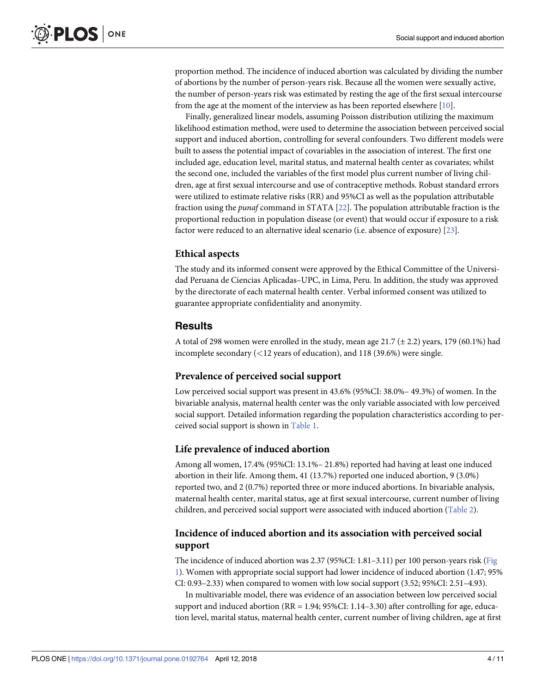<span id="page-3-0"></span>proportion method. The incidence of induced abortion was calculated by dividing the number of abortions by the number of person-years risk. Because all the women were sexually active, the number of person-years risk was estimated by resting the age of the first sexual intercourse from the age at the moment of the interview as has been reported elsewhere [\[10\]](#page-8-0).

Finally, generalized linear models, assuming Poisson distribution utilizing the maximum likelihood estimation method, were used to determine the association between perceived social support and induced abortion, controlling for several confounders. Two different models were built to assess the potential impact of covariables in the association of interest. The first one included age, education level, marital status, and maternal health center as covariates; whilst the second one, included the variables of the first model plus current number of living children, age at first sexual intercourse and use of contraceptive methods. Robust standard errors were utilized to estimate relative risks (RR) and 95%CI as well as the population attributable fraction using the *punaf* command in STATA [[22](#page-9-0)]. The population attributable fraction is the proportional reduction in population disease (or event) that would occur if exposure to a risk factor were reduced to an alternative ideal scenario (i.e. absence of exposure) [[23](#page-9-0)].

#### **Ethical aspects**

The study and its informed consent were approved by the Ethical Committee of the Universidad Peruana de Ciencias Aplicadas–UPC, in Lima, Peru. In addition, the study was approved by the directorate of each maternal health center. Verbal informed consent was utilized to guarantee appropriate confidentiality and anonymity.

#### **Results**

A total of 298 women were enrolled in the study, mean age  $21.7 (\pm 2.2)$  years, 179 (60.1%) had incomplete secondary (*<*12 years of education), and 118 (39.6%) were single.

#### **Prevalence of perceived social support**

Low perceived social support was present in 43.6% (95%CI: 38.0%– 49.3%) of women. In the bivariable analysis, maternal health center was the only variable associated with low perceived social support. Detailed information regarding the population characteristics according to perceived social support is shown in [Table](#page-4-0) 1.

#### **Life prevalence of induced abortion**

Among all women, 17.4% (95%CI: 13.1%– 21.8%) reported had having at least one induced abortion in their life. Among them, 41 (13.7%) reported one induced abortion, 9 (3.0%) reported two, and 2 (0.7%) reported three or more induced abortions. In bivariable analysis, maternal health center, marital status, age at first sexual intercourse, current number of living children, and perceived social support were associated with induced abortion ([Table](#page-5-0) 2).

#### **Incidence of induced abortion and its association with perceived social support**

The incidence of induced abortion was 2.37 (95%CI: 1.81–3.11) per 100 person-years risk ([Fig](#page-5-0) [1\)](#page-5-0). Women with appropriate social support had lower incidence of induced abortion (1.47; 95% CI: 0.93–2.33) when compared to women with low social support (3.52; 95%CI: 2.51–4.93).

In multivariable model, there was evidence of an association between low perceived social support and induced abortion (RR = 1.94; 95%CI: 1.14–3.30) after controlling for age, education level, marital status, maternal health center, current number of living children, age at first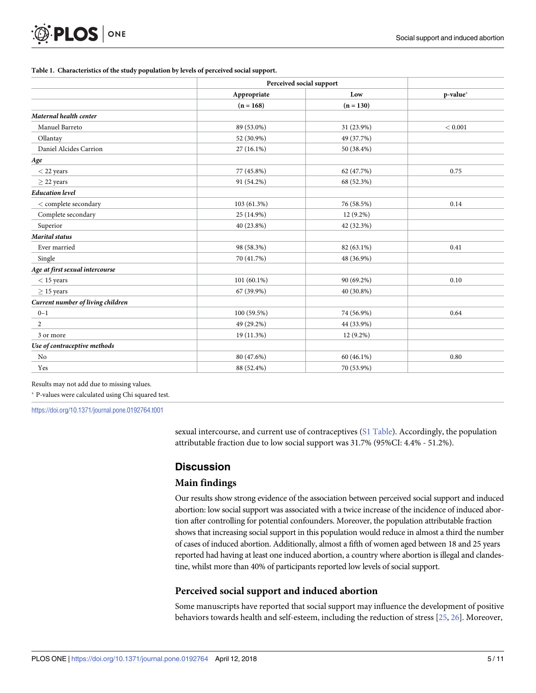#### <span id="page-4-0"></span>**[Table](#page-3-0) 1. Characteristics of the study population by levels of perceived social support.**

|                                   | Perceived social support |             |          |
|-----------------------------------|--------------------------|-------------|----------|
|                                   | Appropriate              | Low         | p-value* |
|                                   | $(n = 168)$              | $(n = 130)$ |          |
| Maternal health center            |                          |             |          |
| Manuel Barreto                    | 89 (53.0%)               | 31 (23.9%)  | < 0.001  |
| Ollantay                          | 52 (30.9%)               | 49 (37.7%)  |          |
| Daniel Alcides Carrion            | 27 (16.1%)               | 50 (38.4%)  |          |
| Age                               |                          |             |          |
| $<$ 22 years                      | 77 (45.8%)               | 62 (47.7%)  | 0.75     |
| $\geq$ 22 years                   | 91 (54.2%)               | 68 (52.3%)  |          |
| <b>Education</b> level            |                          |             |          |
| $<$ complete secondary            | 103 (61.3%)              | 76 (58.5%)  | 0.14     |
| Complete secondary                | 25 (14.9%)               | $12(9.2\%)$ |          |
| Superior                          | 40 (23.8%)               | 42 (32.3%)  |          |
| <b>Marital</b> status             |                          |             |          |
| Ever married                      | 98 (58.3%)               | 82 (63.1%)  | 0.41     |
| Single                            | 70 (41.7%)               | 48 (36.9%)  |          |
| Age at first sexual intercourse   |                          |             |          |
| $<$ 15 years                      | 101 (60.1%)              | 90 (69.2%)  | 0.10     |
| $\geq$ 15 years                   | 67 (39.9%)               | 40 (30.8%)  |          |
| Current number of living children |                          |             |          |
| $0 - 1$                           | 100 (59.5%)              | 74 (56.9%)  | 0.64     |
| $\overline{2}$                    | 49 (29.2%)               | 44 (33.9%)  |          |
| 3 or more                         | 19 (11.3%)               | $12(9.2\%)$ |          |
| Use of contraceptive methods      |                          |             |          |
| No                                | 80 (47.6%)               | 60 (46.1%)  | 0.80     |
| Yes                               | 88 (52.4%)               | 70 (53.9%)  |          |

Results may not add due to missing values.

P-values were calculated using Chi squared test.

<https://doi.org/10.1371/journal.pone.0192764.t001>

sexual intercourse, and current use of contraceptives (S1 [Table](#page-7-0)). Accordingly, the population attributable fraction due to low social support was 31.7% (95%CI: 4.4% - 51.2%).

### **Discussion**

#### **Main findings**

Our results show strong evidence of the association between perceived social support and induced abortion: low social support was associated with a twice increase of the incidence of induced abortion after controlling for potential confounders. Moreover, the population attributable fraction shows that increasing social support in this population would reduce in almost a third the number of cases of induced abortion. Additionally, almost a fifth of women aged between 18 and 25 years reported had having at least one induced abortion, a country where abortion is illegal and clandestine, whilst more than 40% of participants reported low levels of social support.

#### **Perceived social support and induced abortion**

Some manuscripts have reported that social support may influence the development of positive behaviors towards health and self-esteem, including the reduction of stress [\[25,](#page-9-0) [26\]](#page-9-0). Moreover,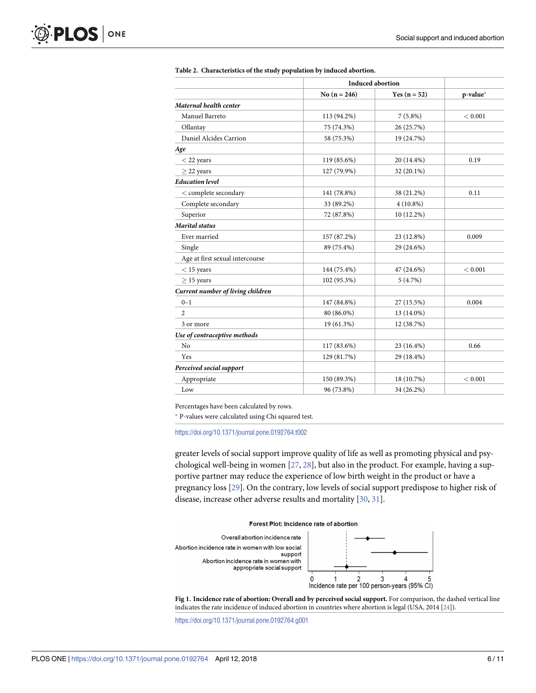<span id="page-5-0"></span>

|                                   | <b>Induced abortion</b> |                |          |  |
|-----------------------------------|-------------------------|----------------|----------|--|
|                                   | No $(n = 246)$          | Yes $(n = 52)$ | p-value* |  |
| Maternal health center            |                         |                |          |  |
| Manuel Barreto                    | 113 (94.2%)             | $7(5.8\%)$     | < 0.001  |  |
| Ollantay                          | 75 (74.3%)              | 26 (25.7%)     |          |  |
| Daniel Alcides Carrion            | 58 (75.3%)              | 19 (24.7%)     |          |  |
| Age                               |                         |                |          |  |
| $<$ 22 years                      | 119 (85.6%)             | 20 (14.4%)     | 0.19     |  |
| $\geq$ 22 years                   | 127 (79.9%)             | 32 (20.1%)     |          |  |
| <b>Education</b> level            |                         |                |          |  |
| $<$ complete secondary            | 141 (78.8%)             | 38 (21.2%)     | 0.11     |  |
| Complete secondary                | 33 (89.2%)              | $4(10.8\%)$    |          |  |
| Superior                          | 72 (87.8%)              | 10 (12.2%)     |          |  |
| <b>Marital</b> status             |                         |                |          |  |
| Ever married                      | 157 (87.2%)             | 23 (12.8%)     | 0.009    |  |
| Single                            | 89 (75.4%)              | 29 (24.6%)     |          |  |
| Age at first sexual intercourse   |                         |                |          |  |
| $<$ 15 years                      | 144 (75.4%)             | 47 (24.6%)     | < 0.001  |  |
| $>$ 15 years                      | 102 (95.3%)             | 5(4.7%)        |          |  |
| Current number of living children |                         |                |          |  |
| $0 - 1$                           | 147 (84.8%)             | 27 (15.5%)     | 0.004    |  |
| $\overline{2}$                    | 80 (86.0%)              | 13 (14.0%)     |          |  |
| 3 or more                         | 19 (61.3%)              | 12 (38.7%)     |          |  |
| Use of contraceptive methods      |                         |                |          |  |
| N <sub>o</sub>                    | 117 (83.6%)             | 23 (16.4%)     | 0.66     |  |
| Yes                               | 129 (81.7%)             | 29 (18.4%)     |          |  |
| Perceived social support          |                         |                |          |  |
| Appropriate                       | 150 (89.3%)             | 18 (10.7%)     | < 0.001  |  |
| Low                               | 96 (73.8%)              | 34 (26.2%)     |          |  |

|  |  |  |  | Table 2. Characteristics of the study population by induced abortion. |
|--|--|--|--|-----------------------------------------------------------------------|
|--|--|--|--|-----------------------------------------------------------------------|

Percentages have been calculated by rows.

 $^\ast$  P-values were calculated using Chi squared test.

<https://doi.org/10.1371/journal.pone.0192764.t002>

greater levels of social support improve quality of life as well as promoting physical and psychological well-being in women [\[27,](#page-9-0) [28\]](#page-9-0), but also in the product. For example, having a supportive partner may reduce the experience of low birth weight in the product or have a pregnancy loss [\[29\]](#page-9-0). On the contrary, low levels of social support predispose to higher risk of disease, increase other adverse results and mortality [[30](#page-9-0), [31](#page-9-0)].







**[Fig](#page-3-0) 1. Incidence rate of abortion: Overall and by perceived social support.** For comparison, the dashed vertical line indicates the rate incidence of induced abortion in countries where abortion is legal (USA, 2014 [\[24\]](#page-9-0)).

<https://doi.org/10.1371/journal.pone.0192764.g001>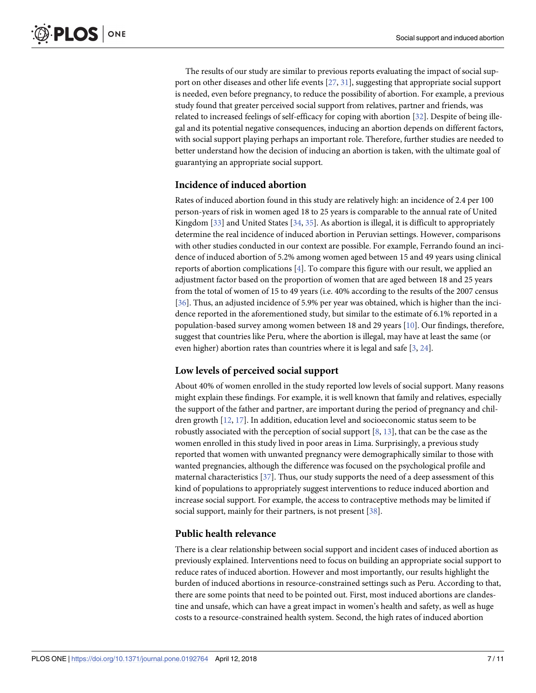<span id="page-6-0"></span>The results of our study are similar to previous reports evaluating the impact of social support on other diseases and other life events [\[27,](#page-9-0) [31\]](#page-9-0), suggesting that appropriate social support is needed, even before pregnancy, to reduce the possibility of abortion. For example, a previous study found that greater perceived social support from relatives, partner and friends, was related to increased feelings of self-efficacy for coping with abortion [[32](#page-9-0)]. Despite of being illegal and its potential negative consequences, inducing an abortion depends on different factors, with social support playing perhaps an important role. Therefore, further studies are needed to better understand how the decision of inducing an abortion is taken, with the ultimate goal of guarantying an appropriate social support.

#### **Incidence of induced abortion**

Rates of induced abortion found in this study are relatively high: an incidence of 2.4 per 100 person-years of risk in women aged 18 to 25 years is comparable to the annual rate of United Kingdom [[33](#page-9-0)] and United States [[34](#page-9-0), [35](#page-9-0)]. As abortion is illegal, it is difficult to appropriately determine the real incidence of induced abortion in Peruvian settings. However, comparisons with other studies conducted in our context are possible. For example, Ferrando found an incidence of induced abortion of 5.2% among women aged between 15 and 49 years using clinical reports of abortion complications [\[4\]](#page-8-0). To compare this figure with our result, we applied an adjustment factor based on the proportion of women that are aged between 18 and 25 years from the total of women of 15 to 49 years (i.e. 40% according to the results of the 2007 census [\[36\]](#page-9-0). Thus, an adjusted incidence of 5.9% per year was obtained, which is higher than the incidence reported in the aforementioned study, but similar to the estimate of 6.1% reported in a population-based survey among women between 18 and 29 years [\[10\]](#page-8-0). Our findings, therefore, suggest that countries like Peru, where the abortion is illegal, may have at least the same (or even higher) abortion rates than countries where it is legal and safe [[3](#page-8-0), [24](#page-9-0)].

## **Low levels of perceived social support**

About 40% of women enrolled in the study reported low levels of social support. Many reasons might explain these findings. For example, it is well known that family and relatives, especially the support of the father and partner, are important during the period of pregnancy and children growth [\[12,](#page-8-0) [17\]](#page-9-0). In addition, education level and socioeconomic status seem to be robustly associated with the perception of social support [[8](#page-8-0), [13](#page-8-0)], that can be the case as the women enrolled in this study lived in poor areas in Lima. Surprisingly, a previous study reported that women with unwanted pregnancy were demographically similar to those with wanted pregnancies, although the difference was focused on the psychological profile and maternal characteristics [\[37\]](#page-9-0). Thus, our study supports the need of a deep assessment of this kind of populations to appropriately suggest interventions to reduce induced abortion and increase social support. For example, the access to contraceptive methods may be limited if social support, mainly for their partners, is not present [[38](#page-10-0)].

#### **Public health relevance**

There is a clear relationship between social support and incident cases of induced abortion as previously explained. Interventions need to focus on building an appropriate social support to reduce rates of induced abortion. However and most importantly, our results highlight the burden of induced abortions in resource-constrained settings such as Peru. According to that, there are some points that need to be pointed out. First, most induced abortions are clandestine and unsafe, which can have a great impact in women's health and safety, as well as huge costs to a resource-constrained health system. Second, the high rates of induced abortion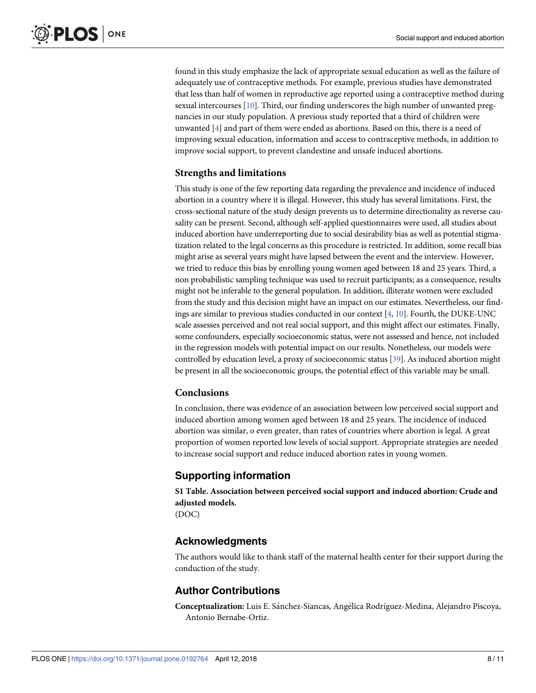<span id="page-7-0"></span>found in this study emphasize the lack of appropriate sexual education as well as the failure of adequately use of contraceptive methods. For example, previous studies have demonstrated that less than half of women in reproductive age reported using a contraceptive method during sexual intercourses [\[10\]](#page-8-0). Third, our finding underscores the high number of unwanted pregnancies in our study population. A previous study reported that a third of children were unwanted [[4](#page-8-0)] and part of them were ended as abortions. Based on this, there is a need of improving sexual education, information and access to contraceptive methods, in addition to improve social support, to prevent clandestine and unsafe induced abortions.

#### **Strengths and limitations**

This study is one of the few reporting data regarding the prevalence and incidence of induced abortion in a country where it is illegal. However, this study has several limitations. First, the cross-sectional nature of the study design prevents us to determine directionality as reverse causality can be present. Second, although self-applied questionnaires were used, all studies about induced abortion have underreporting due to social desirability bias as well as potential stigmatization related to the legal concerns as this procedure is restricted. In addition, some recall bias might arise as several years might have lapsed between the event and the interview. However, we tried to reduce this bias by enrolling young women aged between 18 and 25 years. Third, a non probabilistic sampling technique was used to recruit participants; as a consequence, results might not be inferable to the general population. In addition, illiterate women were excluded from the study and this decision might have an impact on our estimates. Nevertheless, our findings are similar to previous studies conducted in our context  $[4, 10]$  $[4, 10]$  $[4, 10]$  $[4, 10]$ . Fourth, the DUKE-UNC scale assesses perceived and not real social support, and this might affect our estimates. Finally, some confounders, especially socioeconomic status, were not assessed and hence, not included in the regression models with potential impact on our results. Nonetheless, our models were controlled by education level, a proxy of socioeconomic status [\[39\]](#page-10-0). As induced abortion might be present in all the socioeconomic groups, the potential effect of this variable may be small.

#### **Conclusions**

In conclusion, there was evidence of an association between low perceived social support and induced abortion among women aged between 18 and 25 years. The incidence of induced abortion was similar, o even greater, than rates of countries where abortion is legal. A great proportion of women reported low levels of social support. Appropriate strategies are needed to increase social support and reduce induced abortion rates in young women.

## **Supporting information**

**S1 [Table.](http://www.plosone.org/article/fetchSingleRepresentation.action?uri=info:doi/10.1371/journal.pone.0192764.s001) Association between perceived social support and induced abortion: Crude and adjusted models.** (DOC)

## **Acknowledgments**

The authors would like to thank staff of the maternal health center for their support during the conduction of the study.

## **Author Contributions**

**Conceptualization:** Luis E. Sánchez-Siancas, Angélica Rodríguez-Medina, Alejandro Piscoya, Antonio Bernabe-Ortiz.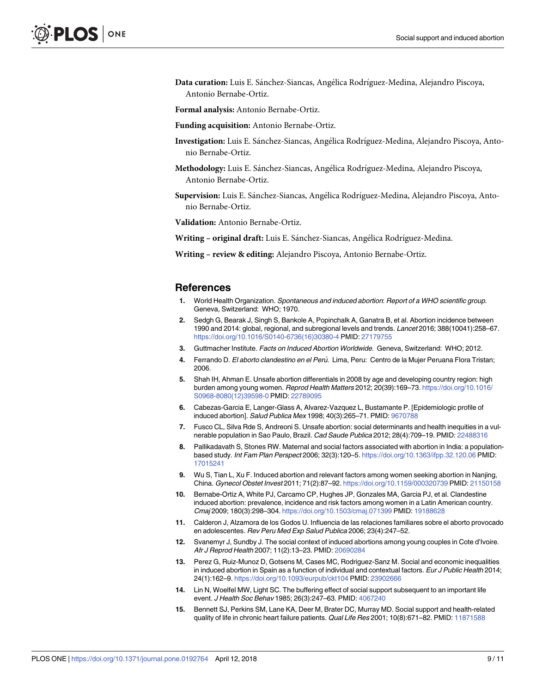<span id="page-8-0"></span>Data curation: Luis E. Sánchez-Siancas, Angélica Rodríguez-Medina, Alejandro Piscoya, Antonio Bernabe-Ortiz.

**Formal analysis:** Antonio Bernabe-Ortiz.

- **Funding acquisition:** Antonio Bernabe-Ortiz.
- **Investigation:** Luis E. Sánchez-Siancas, Angélica Rodríguez-Medina, Alejandro Piscoya, Antonio Bernabe-Ortiz.
- Methodology: Luis E. Sánchez-Siancas, Angélica Rodríguez-Medina, Alejandro Piscoya, Antonio Bernabe-Ortiz.
- Supervision: Luis E. Sánchez-Siancas, Angélica Rodríguez-Medina, Alejandro Piscoya, Antonio Bernabe-Ortiz.

**Validation:** Antonio Bernabe-Ortiz.

**Writing** – **original draft:** Luis E. Sánchez-Siancas, Angélica Rodríguez-Medina.

**Writing – review & editing:** Alejandro Piscoya, Antonio Bernabe-Ortiz.

#### **References**

- **[1](#page-1-0).** World Health Organization. Spontaneous and induced abortion: Report of a WHO scientific group. Geneva, Switzerland: WHO; 1970.
- **[2](#page-1-0).** Sedgh G, Bearak J, Singh S, Bankole A, Popinchalk A, Ganatra B, et al. Abortion incidence between 1990 and 2014: global, regional, and subregional levels and trends. Lancet 2016; 388(10041):258–67. [https://doi.org/10.1016/S0140-6736\(16\)30380-4](https://doi.org/10.1016/S0140-6736(16)30380-4) PMID: [27179755](http://www.ncbi.nlm.nih.gov/pubmed/27179755)
- **[3](#page-1-0).** Guttmacher Institute. Facts on Induced Abortion Worldwide. Geneva, Switzerland: WHO; 2012.
- **[4](#page-1-0).** Ferrando D. El aborto clandestino en el Peru´. Lima, Peru: Centro de la Mujer Peruana Flora Tristan; 2006.
- **[5](#page-1-0).** Shah IH, Ahman E. Unsafe abortion differentials in 2008 by age and developing country region: high burden among young women. Reprod Health Matters 2012; 20(39):169–73. [https://doi.org/10.1016/](https://doi.org/10.1016/S0968-8080(12)39598-0) [S0968-8080\(12\)39598-0](https://doi.org/10.1016/S0968-8080(12)39598-0) PMID: [22789095](http://www.ncbi.nlm.nih.gov/pubmed/22789095)
- **[6](#page-1-0).** Cabezas-Garcia E, Langer-Glass A, Alvarez-Vazquez L, Bustamante P. [Epidemiologic profile of induced abortion]. Salud Publica Mex 1998; 40(3):265–71. PMID: [9670788](http://www.ncbi.nlm.nih.gov/pubmed/9670788)
- **[7](#page-1-0).** Fusco CL, Silva Rde S, Andreoni S. Unsafe abortion: social determinants and health inequities in a vulnerable population in Sao Paulo, Brazil. Cad Saude Publica 2012; 28(4):709–19. PMID: [22488316](http://www.ncbi.nlm.nih.gov/pubmed/22488316)
- **[8](#page-1-0).** Pallikadavath S, Stones RW. Maternal and social factors associated with abortion in India: a populationbased study. Int Fam Plan Perspect 2006; 32(3):120–5. <https://doi.org/10.1363/ifpp.32.120.06> PMID: [17015241](http://www.ncbi.nlm.nih.gov/pubmed/17015241)
- **[9](#page-1-0).** Wu S, Tian L, Xu F. Induced abortion and relevant factors among women seeking abortion in Nanjing, China. Gynecol Obstet Invest 2011; 71(2):87–92. <https://doi.org/10.1159/000320739> PMID: [21150158](http://www.ncbi.nlm.nih.gov/pubmed/21150158)
- **[10](#page-1-0).** Bernabe-Ortiz A, White PJ, Carcamo CP, Hughes JP, Gonzales MA, Garcia PJ, et al. Clandestine induced abortion: prevalence, incidence and risk factors among women in a Latin American country. Cmaj 2009; 180(3):298–304. <https://doi.org/10.1503/cmaj.071399> PMID: [19188628](http://www.ncbi.nlm.nih.gov/pubmed/19188628)
- **[11](#page-1-0).** Calderon J, Alzamora de los Godos U. Influencia de las relaciones familiares sobre el aborto provocado en adolescentes. Rev Peru Med Exp Salud Publica 2006; 23(4):247–52.
- **[12](#page-1-0).** Svanemyr J, Sundby J. The social context of induced abortions among young couples in Cote d'Ivoire. Afr J Reprod Health 2007; 11(2):13–23. PMID: [20690284](http://www.ncbi.nlm.nih.gov/pubmed/20690284)
- **[13](#page-1-0).** Perez G, Ruiz-Munoz D, Gotsens M, Cases MC, Rodriguez-Sanz M. Social and economic inequalities in induced abortion in Spain as a function of individual and contextual factors. Eur J Public Health 2014; 24(1):162–9. <https://doi.org/10.1093/eurpub/ckt104> PMID: [23902666](http://www.ncbi.nlm.nih.gov/pubmed/23902666)
- **[14](#page-1-0).** Lin N, Woelfel MW, Light SC. The buffering effect of social support subsequent to an important life event. J Health Soc Behav 1985; 26(3):247–63. PMID: [4067240](http://www.ncbi.nlm.nih.gov/pubmed/4067240)
- **[15](#page-1-0).** Bennett SJ, Perkins SM, Lane KA, Deer M, Brater DC, Murray MD. Social support and health-related quality of life in chronic heart failure patients. Qual Life Res 2001; 10(8):671-82. PMID: [11871588](http://www.ncbi.nlm.nih.gov/pubmed/11871588)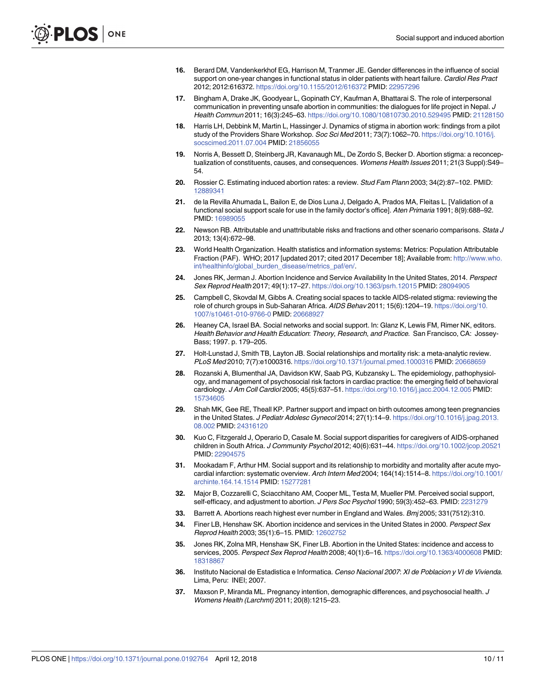- <span id="page-9-0"></span>**[16](#page-1-0).** Berard DM, Vandenkerkhof EG, Harrison M, Tranmer JE. Gender differences in the influence of social support on one-year changes in functional status in older patients with heart failure. Cardiol Res Pract 2012; 2012:616372. <https://doi.org/10.1155/2012/616372> PMID: [22957296](http://www.ncbi.nlm.nih.gov/pubmed/22957296)
- **[17](#page-1-0).** Bingham A, Drake JK, Goodyear L, Gopinath CY, Kaufman A, Bhattarai S. The role of interpersonal communication in preventing unsafe abortion in communities: the dialogues for life project in Nepal. J Health Commun 2011; 16(3):245–63. <https://doi.org/10.1080/10810730.2010.529495> PMID: [21128150](http://www.ncbi.nlm.nih.gov/pubmed/21128150)
- **18.** Harris LH, Debbink M, Martin L, Hassinger J. Dynamics of stigma in abortion work: findings from a pilot study of the Providers Share Workshop. Soc Sci Med 2011; 73(7):1062-70. [https://doi.org/10.1016/j.](https://doi.org/10.1016/j.socscimed.2011.07.004) [socscimed.2011.07.004](https://doi.org/10.1016/j.socscimed.2011.07.004) PMID: [21856055](http://www.ncbi.nlm.nih.gov/pubmed/21856055)
- **[19](#page-1-0).** Norris A, Bessett D, Steinberg JR, Kavanaugh ML, De Zordo S, Becker D. Abortion stigma: a reconceptualization of constituents, causes, and consequences. Womens Health Issues 2011; 21(3 Suppl):S49– 54.
- **[20](#page-1-0).** Rossier C. Estimating induced abortion rates: a review. Stud Fam Plann 2003; 34(2):87–102. PMID: [12889341](http://www.ncbi.nlm.nih.gov/pubmed/12889341)
- **[21](#page-2-0).** de la Revilla Ahumada L, Bailon E, de Dios Luna J, Delgado A, Prados MA, Fleitas L. [Validation of a functional social support scale for use in the family doctor's office]. Aten Primaria 1991; 8(9):688–92. PMID: [16989055](http://www.ncbi.nlm.nih.gov/pubmed/16989055)
- **[22](#page-3-0).** Newson RB. Attributable and unattributable risks and fractions and other scenario comparisons. Stata J 2013; 13(4):672–98.
- **[23](#page-3-0).** World Health Organization. Health statistics and information systems: Metrics: Population Attributable Fraction (PAF). WHO; 2017 [updated 2017; cited 2017 December 18]; Available from: [http://www.who.](http://www.who.int/healthinfo/global_burden_disease/metrics_paf/en/) [int/healthinfo/global\\_burden\\_disease/metrics\\_paf/en/](http://www.who.int/healthinfo/global_burden_disease/metrics_paf/en/).
- **[24](#page-5-0).** Jones RK, Jerman J. Abortion Incidence and Service Availability In the United States, 2014. Perspect Sex Reprod Health 2017; 49(1):17–27. <https://doi.org/10.1363/psrh.12015> PMID: [28094905](http://www.ncbi.nlm.nih.gov/pubmed/28094905)
- **[25](#page-4-0).** Campbell C, Skovdal M, Gibbs A. Creating social spaces to tackle AIDS-related stigma: reviewing the role of church groups in Sub-Saharan Africa. AIDS Behav 2011; 15(6):1204–19. [https://doi.org/10.](https://doi.org/10.1007/s10461-010-9766-0) [1007/s10461-010-9766-0](https://doi.org/10.1007/s10461-010-9766-0) PMID: [20668927](http://www.ncbi.nlm.nih.gov/pubmed/20668927)
- **[26](#page-4-0).** Heaney CA, Israel BA. Social networks and social support. In: Glanz K, Lewis FM, Rimer NK, editors. Health Behavior and Health Education: Theory, Research, and Practice. San Francisco, CA: Jossey-Bass; 1997. p. 179–205.
- **[27](#page-5-0).** Holt-Lunstad J, Smith TB, Layton JB. Social relationships and mortality risk: a meta-analytic review. PLoS Med 2010; 7(7):e1000316. <https://doi.org/10.1371/journal.pmed.1000316> PMID: [20668659](http://www.ncbi.nlm.nih.gov/pubmed/20668659)
- **[28](#page-5-0).** Rozanski A, Blumenthal JA, Davidson KW, Saab PG, Kubzansky L. The epidemiology, pathophysiology, and management of psychosocial risk factors in cardiac practice: the emerging field of behavioral cardiology. J Am Coll Cardiol 2005; 45(5):637–51. <https://doi.org/10.1016/j.jacc.2004.12.005> PMID: [15734605](http://www.ncbi.nlm.nih.gov/pubmed/15734605)
- **[29](#page-5-0).** Shah MK, Gee RE, Theall KP. Partner support and impact on birth outcomes among teen pregnancies in the United States. J Pediatr Adolesc Gynecol 2014; 27(1):14–9. [https://doi.org/10.1016/j.jpag.2013.](https://doi.org/10.1016/j.jpag.2013.08.002) [08.002](https://doi.org/10.1016/j.jpag.2013.08.002) PMID: [24316120](http://www.ncbi.nlm.nih.gov/pubmed/24316120)
- **[30](#page-5-0).** Kuo C, Fitzgerald J, Operario D, Casale M. Social support disparities for caregivers of AIDS-orphaned children in South Africa. J Community Psychol 2012; 40(6):631–44. <https://doi.org/10.1002/jcop.20521> PMID: [22904575](http://www.ncbi.nlm.nih.gov/pubmed/22904575)
- **[31](#page-5-0).** Mookadam F, Arthur HM. Social support and its relationship to morbidity and mortality after acute myocardial infarction: systematic overview. Arch Intern Med 2004; 164(14):1514–8. [https://doi.org/10.1001/](https://doi.org/10.1001/archinte.164.14.1514) [archinte.164.14.1514](https://doi.org/10.1001/archinte.164.14.1514) PMID: [15277281](http://www.ncbi.nlm.nih.gov/pubmed/15277281)
- **[32](#page-6-0).** Major B, Cozzarelli C, Sciacchitano AM, Cooper ML, Testa M, Mueller PM. Perceived social support, self-efficacy, and adjustment to abortion. J Pers Soc Psychol 1990; 59(3):452–63. PMID: [2231279](http://www.ncbi.nlm.nih.gov/pubmed/2231279)
- **[33](#page-6-0).** Barrett A. Abortions reach highest ever number in England and Wales. Bmj 2005; 331(7512):310.
- **[34](#page-6-0).** Finer LB, Henshaw SK. Abortion incidence and services in the United States in 2000. Perspect Sex Reprod Health 2003; 35(1):6–15. PMID: [12602752](http://www.ncbi.nlm.nih.gov/pubmed/12602752)
- **[35](#page-6-0).** Jones RK, Zolna MR, Henshaw SK, Finer LB. Abortion in the United States: incidence and access to services, 2005. Perspect Sex Reprod Health 2008; 40(1):6-16. <https://doi.org/10.1363/4000608> PMID: [18318867](http://www.ncbi.nlm.nih.gov/pubmed/18318867)
- **[36](#page-6-0).** Instituto Nacional de Estadistica e Informatica. Censo Nacional 2007: XI de Poblacion y VI de Vivienda. Lima, Peru: INEI; 2007.
- **[37](#page-6-0).** Maxson P, Miranda ML. Pregnancy intention, demographic differences, and psychosocial health. J Womens Health (Larchmt) 2011; 20(8):1215–23.